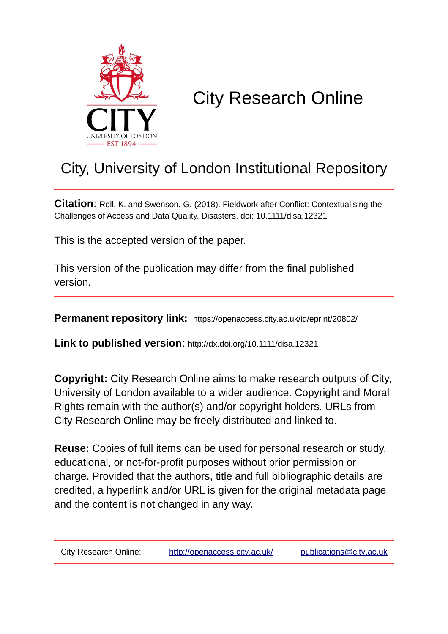

# City Research Online

## City, University of London Institutional Repository

**Citation**: Roll, K. and Swenson, G. (2018). Fieldwork after Conflict: Contextualising the Challenges of Access and Data Quality. Disasters, doi: 10.1111/disa.12321

This is the accepted version of the paper.

This version of the publication may differ from the final published version.

**Permanent repository link:** https://openaccess.city.ac.uk/id/eprint/20802/

**Link to published version**: http://dx.doi.org/10.1111/disa.12321

**Copyright:** City Research Online aims to make research outputs of City, University of London available to a wider audience. Copyright and Moral Rights remain with the author(s) and/or copyright holders. URLs from City Research Online may be freely distributed and linked to.

**Reuse:** Copies of full items can be used for personal research or study, educational, or not-for-profit purposes without prior permission or charge. Provided that the authors, title and full bibliographic details are credited, a hyperlink and/or URL is given for the original metadata page and the content is not changed in any way.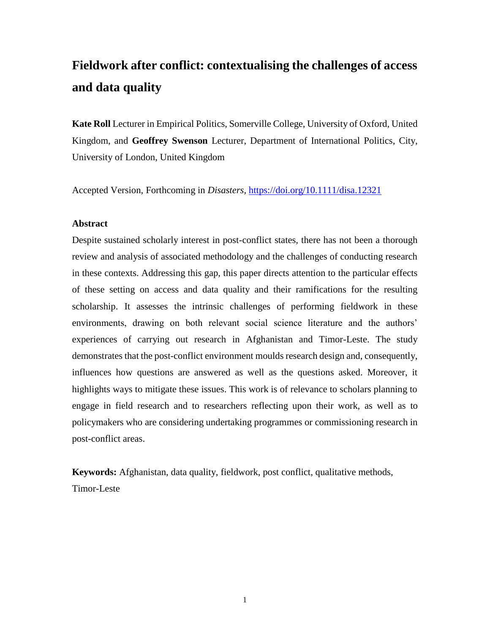### **Fieldwork after conflict: contextualising the challenges of access and data quality**

**Kate Roll** Lecturer in Empirical Politics, Somerville College, University of Oxford, United Kingdom, and **Geoffrey Swenson** Lecturer, Department of International Politics, City, University of London, United Kingdom

Accepted Version, Forthcoming in *Disasters*, <https://doi.org/10.1111/disa.12321>

#### **Abstract**

Despite sustained scholarly interest in post-conflict states, there has not been a thorough review and analysis of associated methodology and the challenges of conducting research in these contexts. Addressing this gap, this paper directs attention to the particular effects of these setting on access and data quality and their ramifications for the resulting scholarship. It assesses the intrinsic challenges of performing fieldwork in these environments, drawing on both relevant social science literature and the authors' experiences of carrying out research in Afghanistan and Timor-Leste. The study demonstrates that the post-conflict environment moulds research design and, consequently, influences how questions are answered as well as the questions asked. Moreover, it highlights ways to mitigate these issues. This work is of relevance to scholars planning to engage in field research and to researchers reflecting upon their work, as well as to policymakers who are considering undertaking programmes or commissioning research in post-conflict areas.

**Keywords:** Afghanistan, data quality, fieldwork, post conflict, qualitative methods, Timor-Leste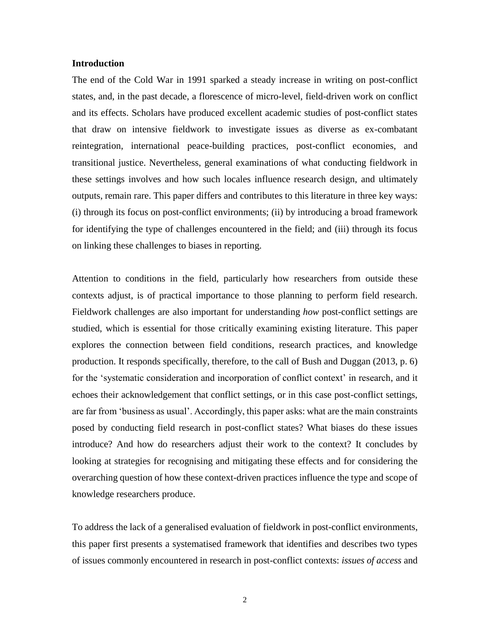#### **Introduction**

The end of the Cold War in 1991 sparked a steady increase in writing on post-conflict states, and, in the past decade, a florescence of micro-level, field-driven work on conflict and its effects. Scholars have produced excellent academic studies of post-conflict states that draw on intensive fieldwork to investigate issues as diverse as ex-combatant reintegration, international peace-building practices, post-conflict economies, and transitional justice. Nevertheless, general examinations of what conducting fieldwork in these settings involves and how such locales influence research design, and ultimately outputs, remain rare. This paper differs and contributes to this literature in three key ways: (i) through its focus on post-conflict environments; (ii) by introducing a broad framework for identifying the type of challenges encountered in the field; and (iii) through its focus on linking these challenges to biases in reporting.

Attention to conditions in the field, particularly how researchers from outside these contexts adjust, is of practical importance to those planning to perform field research. Fieldwork challenges are also important for understanding *how* post-conflict settings are studied, which is essential for those critically examining existing literature. This paper explores the connection between field conditions, research practices, and knowledge production. It responds specifically, therefore, to the call of Bush and Duggan (2013, p. 6) for the 'systematic consideration and incorporation of conflict context' in research, and it echoes their acknowledgement that conflict settings, or in this case post-conflict settings, are far from 'business as usual'. Accordingly, this paper asks: what are the main constraints posed by conducting field research in post-conflict states? What biases do these issues introduce? And how do researchers adjust their work to the context? It concludes by looking at strategies for recognising and mitigating these effects and for considering the overarching question of how these context-driven practices influence the type and scope of knowledge researchers produce.

To address the lack of a generalised evaluation of fieldwork in post-conflict environments, this paper first presents a systematised framework that identifies and describes two types of issues commonly encountered in research in post-conflict contexts: *issues of access* and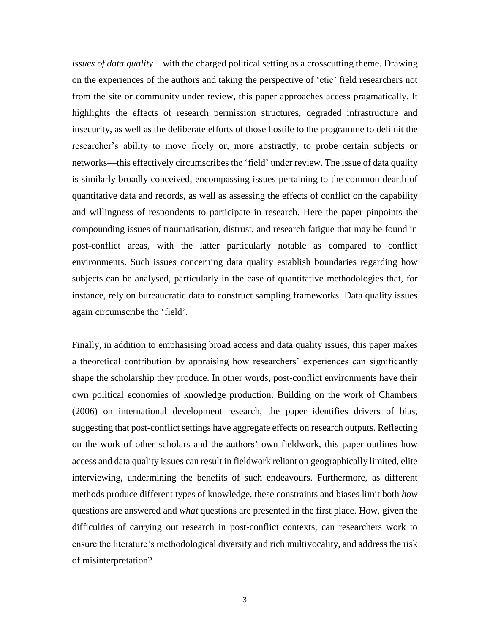*issues of data quality*—with the charged political setting as a crosscutting theme. Drawing on the experiences of the authors and taking the perspective of 'etic' field researchers not from the site or community under review, this paper approaches access pragmatically. It highlights the effects of research permission structures, degraded infrastructure and insecurity, as well as the deliberate efforts of those hostile to the programme to delimit the researcher's ability to move freely or, more abstractly, to probe certain subjects or networks—this effectively circumscribes the 'field' under review. The issue of data quality is similarly broadly conceived, encompassing issues pertaining to the common dearth of quantitative data and records, as well as assessing the effects of conflict on the capability and willingness of respondents to participate in research. Here the paper pinpoints the compounding issues of traumatisation, distrust, and research fatigue that may be found in post-conflict areas, with the latter particularly notable as compared to conflict environments. Such issues concerning data quality establish boundaries regarding how subjects can be analysed, particularly in the case of quantitative methodologies that, for instance, rely on bureaucratic data to construct sampling frameworks. Data quality issues again circumscribe the 'field'.

Finally, in addition to emphasising broad access and data quality issues, this paper makes a theoretical contribution by appraising how researchers' experiences can significantly shape the scholarship they produce. In other words, post-conflict environments have their own political economies of knowledge production. Building on the work of Chambers (2006) on international development research, the paper identifies drivers of bias, suggesting that post-conflict settings have aggregate effects on research outputs. Reflecting on the work of other scholars and the authors' own fieldwork, this paper outlines how access and data quality issues can result in fieldwork reliant on geographically limited, elite interviewing, undermining the benefits of such endeavours. Furthermore, as different methods produce different types of knowledge, these constraints and biases limit both *how* questions are answered and *what* questions are presented in the first place. How, given the difficulties of carrying out research in post-conflict contexts, can researchers work to ensure the literature's methodological diversity and rich multivocality, and address the risk of misinterpretation?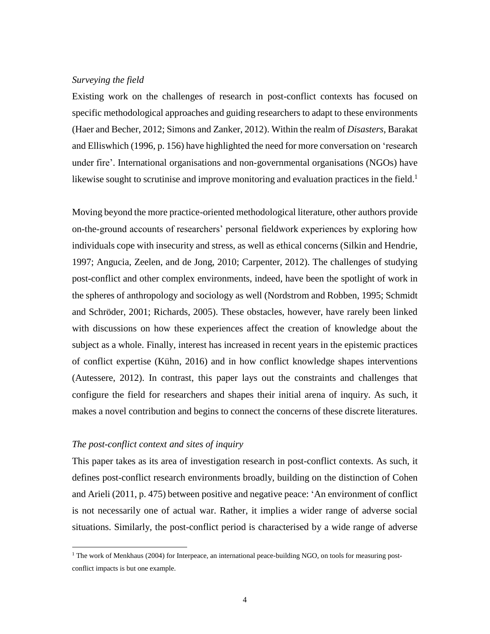#### *Surveying the field*

Existing work on the challenges of research in post-conflict contexts has focused on specific methodological approaches and guiding researchers to adapt to these environments (Haer and Becher, 2012; Simons and Zanker, 2012). Within the realm of *Disasters*, Barakat and Elliswhich (1996, p. 156) have highlighted the need for more conversation on 'research under fire'. International organisations and non-governmental organisations (NGOs) have likewise sought to scrutinise and improve monitoring and evaluation practices in the field.<sup>1</sup>

Moving beyond the more practice-oriented methodological literature, other authors provide on-the-ground accounts of researchers' personal fieldwork experiences by exploring how individuals cope with insecurity and stress, as well as ethical concerns (Silkin and Hendrie, 1997; Angucia, Zeelen, and de Jong, 2010; Carpenter, 2012). The challenges of studying post-conflict and other complex environments, indeed, have been the spotlight of work in the spheres of anthropology and sociology as well (Nordstrom and Robben, 1995; Schmidt and Schröder, 2001; Richards, 2005). These obstacles, however, have rarely been linked with discussions on how these experiences affect the creation of knowledge about the subject as a whole. Finally, interest has increased in recent years in the epistemic practices of conflict expertise (Kühn, 2016) and in how conflict knowledge shapes interventions (Autessere, 2012). In contrast, this paper lays out the constraints and challenges that configure the field for researchers and shapes their initial arena of inquiry. As such, it makes a novel contribution and begins to connect the concerns of these discrete literatures.

#### *The post-conflict context and sites of inquiry*

 $\overline{a}$ 

This paper takes as its area of investigation research in post-conflict contexts. As such, it defines post-conflict research environments broadly, building on the distinction of Cohen and Arieli (2011, p. 475) between positive and negative peace: 'An environment of conflict is not necessarily one of actual war. Rather, it implies a wider range of adverse social situations. Similarly, the post-conflict period is characterised by a wide range of adverse

<sup>&</sup>lt;sup>1</sup> The work of Menkhaus (2004) for Interpeace, an international peace-building NGO, on tools for measuring postconflict impacts is but one example.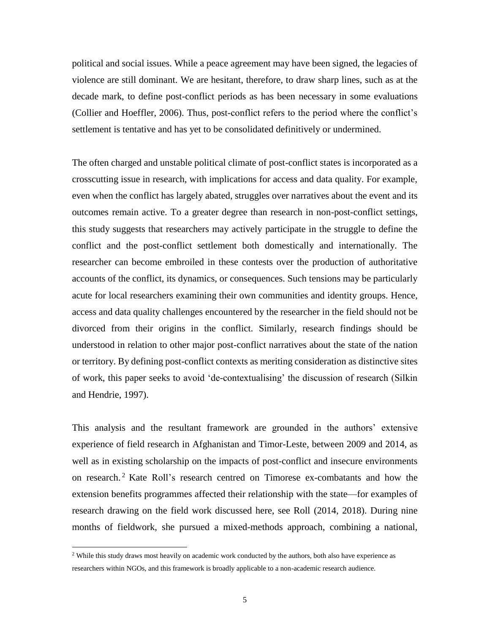political and social issues. While a peace agreement may have been signed, the legacies of violence are still dominant. We are hesitant, therefore, to draw sharp lines, such as at the decade mark, to define post-conflict periods as has been necessary in some evaluations (Collier and Hoeffler, 2006). Thus, post-conflict refers to the period where the conflict's settlement is tentative and has yet to be consolidated definitively or undermined.

The often charged and unstable political climate of post-conflict states is incorporated as a crosscutting issue in research, with implications for access and data quality. For example, even when the conflict has largely abated, struggles over narratives about the event and its outcomes remain active. To a greater degree than research in non-post-conflict settings, this study suggests that researchers may actively participate in the struggle to define the conflict and the post-conflict settlement both domestically and internationally. The researcher can become embroiled in these contests over the production of authoritative accounts of the conflict, its dynamics, or consequences. Such tensions may be particularly acute for local researchers examining their own communities and identity groups. Hence, access and data quality challenges encountered by the researcher in the field should not be divorced from their origins in the conflict. Similarly, research findings should be understood in relation to other major post-conflict narratives about the state of the nation or territory. By defining post-conflict contexts as meriting consideration as distinctive sites of work, this paper seeks to avoid 'de-contextualising' the discussion of research (Silkin and Hendrie, 1997).

This analysis and the resultant framework are grounded in the authors' extensive experience of field research in Afghanistan and Timor-Leste, between 2009 and 2014, as well as in existing scholarship on the impacts of post-conflict and insecure environments on research. <sup>2</sup> Kate Roll's research centred on Timorese ex-combatants and how the extension benefits programmes affected their relationship with the state—for examples of research drawing on the field work discussed here, see Roll (2014, 2018). During nine months of fieldwork, she pursued a mixed-methods approach, combining a national,

<sup>&</sup>lt;sup>2</sup> While this study draws most heavily on academic work conducted by the authors, both also have experience as researchers within NGOs, and this framework is broadly applicable to a non-academic research audience.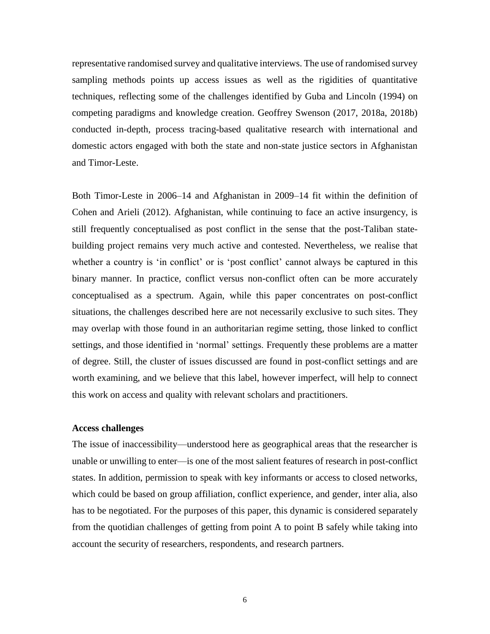representative randomised survey and qualitative interviews. The use of randomised survey sampling methods points up access issues as well as the rigidities of quantitative techniques, reflecting some of the challenges identified by Guba and Lincoln (1994) on competing paradigms and knowledge creation. Geoffrey Swenson (2017, 2018a, 2018b) conducted in-depth, process tracing-based qualitative research with international and domestic actors engaged with both the state and non-state justice sectors in Afghanistan and Timor-Leste.

Both Timor-Leste in 2006–14 and Afghanistan in 2009–14 fit within the definition of Cohen and Arieli (2012). Afghanistan, while continuing to face an active insurgency, is still frequently conceptualised as post conflict in the sense that the post-Taliban statebuilding project remains very much active and contested. Nevertheless, we realise that whether a country is 'in conflict' or is 'post conflict' cannot always be captured in this binary manner. In practice, conflict versus non-conflict often can be more accurately conceptualised as a spectrum. Again, while this paper concentrates on post-conflict situations, the challenges described here are not necessarily exclusive to such sites. They may overlap with those found in an authoritarian regime setting, those linked to conflict settings, and those identified in 'normal' settings. Frequently these problems are a matter of degree. Still, the cluster of issues discussed are found in post-conflict settings and are worth examining, and we believe that this label, however imperfect, will help to connect this work on access and quality with relevant scholars and practitioners.

#### **Access challenges**

The issue of inaccessibility—understood here as geographical areas that the researcher is unable or unwilling to enter—is one of the most salient features of research in post-conflict states. In addition, permission to speak with key informants or access to closed networks, which could be based on group affiliation, conflict experience, and gender, inter alia, also has to be negotiated. For the purposes of this paper, this dynamic is considered separately from the quotidian challenges of getting from point A to point B safely while taking into account the security of researchers, respondents, and research partners.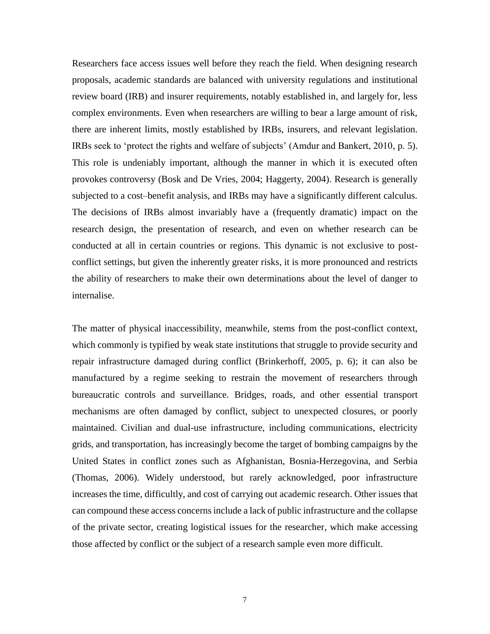Researchers face access issues well before they reach the field. When designing research proposals, academic standards are balanced with university regulations and institutional review board (IRB) and insurer requirements, notably established in, and largely for, less complex environments. Even when researchers are willing to bear a large amount of risk, there are inherent limits, mostly established by IRBs, insurers, and relevant legislation. IRBs seek to 'protect the rights and welfare of subjects' (Amdur and Bankert, 2010, p. 5). This role is undeniably important, although the manner in which it is executed often provokes controversy (Bosk and De Vries, 2004; Haggerty, 2004). Research is generally subjected to a cost–benefit analysis, and IRBs may have a significantly different calculus. The decisions of IRBs almost invariably have a (frequently dramatic) impact on the research design, the presentation of research, and even on whether research can be conducted at all in certain countries or regions. This dynamic is not exclusive to postconflict settings, but given the inherently greater risks, it is more pronounced and restricts the ability of researchers to make their own determinations about the level of danger to internalise.

The matter of physical inaccessibility, meanwhile, stems from the post-conflict context, which commonly is typified by weak state institutions that struggle to provide security and repair infrastructure damaged during conflict (Brinkerhoff, 2005, p. 6); it can also be manufactured by a regime seeking to restrain the movement of researchers through bureaucratic controls and surveillance. Bridges, roads, and other essential transport mechanisms are often damaged by conflict, subject to unexpected closures, or poorly maintained. Civilian and dual-use infrastructure, including communications, electricity grids, and transportation, has increasingly become the target of bombing campaigns by the United States in conflict zones such as Afghanistan, Bosnia-Herzegovina, and Serbia (Thomas, 2006). Widely understood, but rarely acknowledged, poor infrastructure increases the time, difficultly, and cost of carrying out academic research. Other issues that can compound these access concerns include a lack of public infrastructure and the collapse of the private sector, creating logistical issues for the researcher, which make accessing those affected by conflict or the subject of a research sample even more difficult.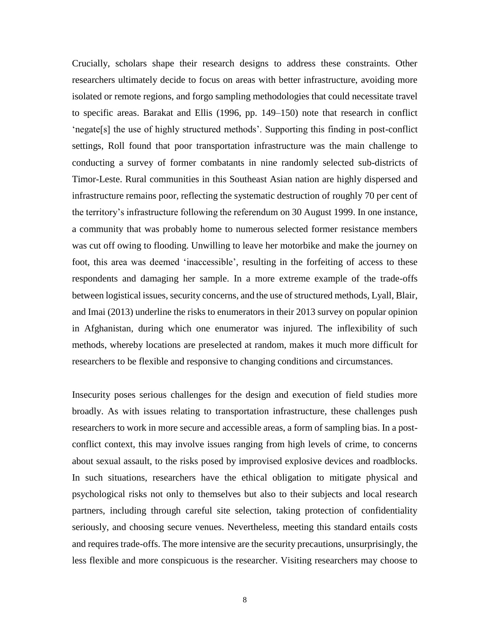Crucially, scholars shape their research designs to address these constraints. Other researchers ultimately decide to focus on areas with better infrastructure, avoiding more isolated or remote regions, and forgo sampling methodologies that could necessitate travel to specific areas. Barakat and Ellis (1996, pp. 149–150) note that research in conflict 'negate[s] the use of highly structured methods'. Supporting this finding in post-conflict settings, Roll found that poor transportation infrastructure was the main challenge to conducting a survey of former combatants in nine randomly selected sub-districts of Timor-Leste. Rural communities in this Southeast Asian nation are highly dispersed and infrastructure remains poor, reflecting the systematic destruction of roughly 70 per cent of the territory's infrastructure following the referendum on 30 August 1999. In one instance, a community that was probably home to numerous selected former resistance members was cut off owing to flooding. Unwilling to leave her motorbike and make the journey on foot, this area was deemed 'inaccessible', resulting in the forfeiting of access to these respondents and damaging her sample. In a more extreme example of the trade-offs between logistical issues, security concerns, and the use of structured methods, Lyall, Blair, and Imai (2013) underline the risks to enumerators in their 2013 survey on popular opinion in Afghanistan, during which one enumerator was injured. The inflexibility of such methods, whereby locations are preselected at random, makes it much more difficult for researchers to be flexible and responsive to changing conditions and circumstances.

Insecurity poses serious challenges for the design and execution of field studies more broadly. As with issues relating to transportation infrastructure, these challenges push researchers to work in more secure and accessible areas, a form of sampling bias. In a postconflict context, this may involve issues ranging from high levels of crime, to concerns about sexual assault, to the risks posed by improvised explosive devices and roadblocks. In such situations, researchers have the ethical obligation to mitigate physical and psychological risks not only to themselves but also to their subjects and local research partners, including through careful site selection, taking protection of confidentiality seriously, and choosing secure venues. Nevertheless, meeting this standard entails costs and requires trade-offs. The more intensive are the security precautions, unsurprisingly, the less flexible and more conspicuous is the researcher. Visiting researchers may choose to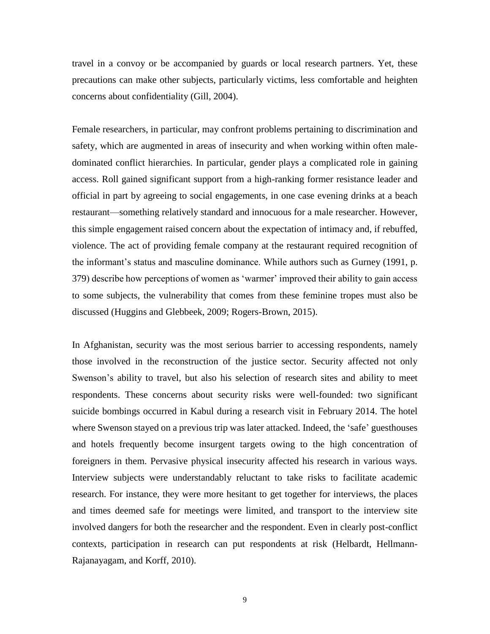travel in a convoy or be accompanied by guards or local research partners. Yet, these precautions can make other subjects, particularly victims, less comfortable and heighten concerns about confidentiality (Gill, 2004).

Female researchers, in particular, may confront problems pertaining to discrimination and safety, which are augmented in areas of insecurity and when working within often maledominated conflict hierarchies. In particular, gender plays a complicated role in gaining access. Roll gained significant support from a high-ranking former resistance leader and official in part by agreeing to social engagements, in one case evening drinks at a beach restaurant—something relatively standard and innocuous for a male researcher. However, this simple engagement raised concern about the expectation of intimacy and, if rebuffed, violence. The act of providing female company at the restaurant required recognition of the informant's status and masculine dominance. While authors such as Gurney (1991, p. 379) describe how perceptions of women as 'warmer' improved their ability to gain access to some subjects, the vulnerability that comes from these feminine tropes must also be discussed (Huggins and Glebbeek, 2009; Rogers-Brown, 2015).

In Afghanistan, security was the most serious barrier to accessing respondents, namely those involved in the reconstruction of the justice sector. Security affected not only Swenson's ability to travel, but also his selection of research sites and ability to meet respondents. These concerns about security risks were well-founded: two significant suicide bombings occurred in Kabul during a research visit in February 2014. The hotel where Swenson stayed on a previous trip was later attacked. Indeed, the 'safe' guesthouses and hotels frequently become insurgent targets owing to the high concentration of foreigners in them. Pervasive physical insecurity affected his research in various ways. Interview subjects were understandably reluctant to take risks to facilitate academic research. For instance, they were more hesitant to get together for interviews, the places and times deemed safe for meetings were limited, and transport to the interview site involved dangers for both the researcher and the respondent. Even in clearly post-conflict contexts, participation in research can put respondents at risk (Helbardt, Hellmann-Rajanayagam, and Korff, 2010).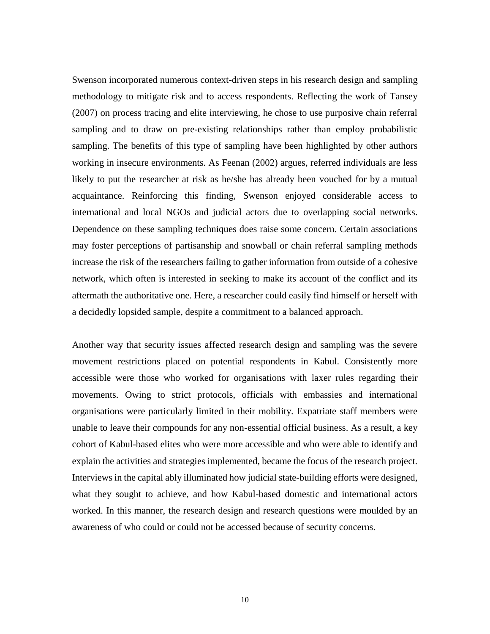Swenson incorporated numerous context-driven steps in his research design and sampling methodology to mitigate risk and to access respondents. Reflecting the work of Tansey (2007) on process tracing and elite interviewing, he chose to use purposive chain referral sampling and to draw on pre-existing relationships rather than employ probabilistic sampling. The benefits of this type of sampling have been highlighted by other authors working in insecure environments. As Feenan (2002) argues, referred individuals are less likely to put the researcher at risk as he/she has already been vouched for by a mutual acquaintance. Reinforcing this finding, Swenson enjoyed considerable access to international and local NGOs and judicial actors due to overlapping social networks. Dependence on these sampling techniques does raise some concern. Certain associations may foster perceptions of partisanship and snowball or chain referral sampling methods increase the risk of the researchers failing to gather information from outside of a cohesive network, which often is interested in seeking to make its account of the conflict and its aftermath the authoritative one. Here, a researcher could easily find himself or herself with a decidedly lopsided sample, despite a commitment to a balanced approach.

Another way that security issues affected research design and sampling was the severe movement restrictions placed on potential respondents in Kabul. Consistently more accessible were those who worked for organisations with laxer rules regarding their movements. Owing to strict protocols, officials with embassies and international organisations were particularly limited in their mobility. Expatriate staff members were unable to leave their compounds for any non-essential official business. As a result, a key cohort of Kabul-based elites who were more accessible and who were able to identify and explain the activities and strategies implemented, became the focus of the research project. Interviews in the capital ably illuminated how judicial state-building efforts were designed, what they sought to achieve, and how Kabul-based domestic and international actors worked. In this manner, the research design and research questions were moulded by an awareness of who could or could not be accessed because of security concerns.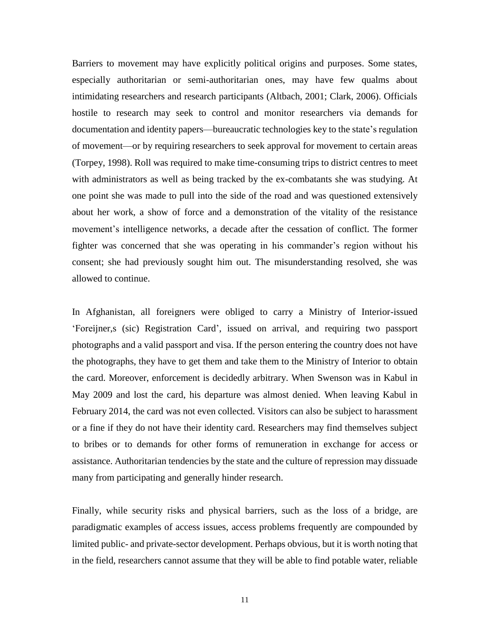Barriers to movement may have explicitly political origins and purposes. Some states, especially authoritarian or semi-authoritarian ones, may have few qualms about intimidating researchers and research participants (Altbach, 2001; Clark, 2006). Officials hostile to research may seek to control and monitor researchers via demands for documentation and identity papers—bureaucratic technologies key to the state's regulation of movement—or by requiring researchers to seek approval for movement to certain areas (Torpey, 1998). Roll was required to make time-consuming trips to district centres to meet with administrators as well as being tracked by the ex-combatants she was studying. At one point she was made to pull into the side of the road and was questioned extensively about her work, a show of force and a demonstration of the vitality of the resistance movement's intelligence networks, a decade after the cessation of conflict. The former fighter was concerned that she was operating in his commander's region without his consent; she had previously sought him out. The misunderstanding resolved, she was allowed to continue.

In Afghanistan, all foreigners were obliged to carry a Ministry of Interior-issued 'Foreijner,s (sic) Registration Card', issued on arrival, and requiring two passport photographs and a valid passport and visa. If the person entering the country does not have the photographs, they have to get them and take them to the Ministry of Interior to obtain the card. Moreover, enforcement is decidedly arbitrary. When Swenson was in Kabul in May 2009 and lost the card, his departure was almost denied. When leaving Kabul in February 2014, the card was not even collected. Visitors can also be subject to harassment or a fine if they do not have their identity card. Researchers may find themselves subject to bribes or to demands for other forms of remuneration in exchange for access or assistance. Authoritarian tendencies by the state and the culture of repression may dissuade many from participating and generally hinder research.

Finally, while security risks and physical barriers, such as the loss of a bridge, are paradigmatic examples of access issues, access problems frequently are compounded by limited public- and private-sector development. Perhaps obvious, but it is worth noting that in the field, researchers cannot assume that they will be able to find potable water, reliable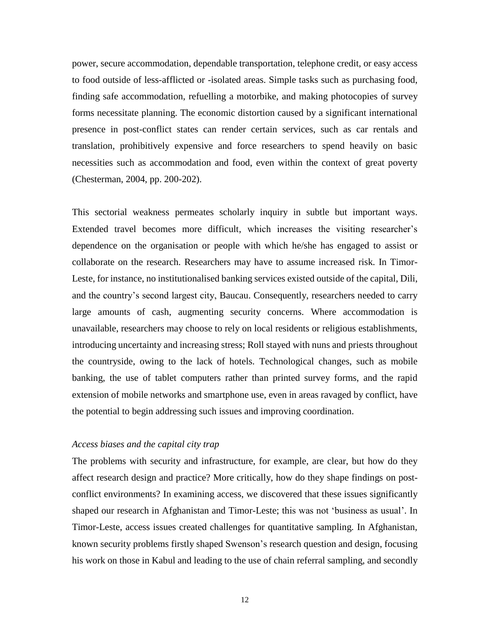power, secure accommodation, dependable transportation, telephone credit, or easy access to food outside of less-afflicted or -isolated areas. Simple tasks such as purchasing food, finding safe accommodation, refuelling a motorbike, and making photocopies of survey forms necessitate planning. The economic distortion caused by a significant international presence in post-conflict states can render certain services, such as car rentals and translation, prohibitively expensive and force researchers to spend heavily on basic necessities such as accommodation and food, even within the context of great poverty (Chesterman, 2004, pp. 200-202).

This sectorial weakness permeates scholarly inquiry in subtle but important ways. Extended travel becomes more difficult, which increases the visiting researcher's dependence on the organisation or people with which he/she has engaged to assist or collaborate on the research. Researchers may have to assume increased risk. In Timor-Leste, for instance, no institutionalised banking services existed outside of the capital, Dili, and the country's second largest city, Baucau. Consequently, researchers needed to carry large amounts of cash, augmenting security concerns. Where accommodation is unavailable, researchers may choose to rely on local residents or religious establishments, introducing uncertainty and increasing stress; Roll stayed with nuns and priests throughout the countryside, owing to the lack of hotels. Technological changes, such as mobile banking, the use of tablet computers rather than printed survey forms, and the rapid extension of mobile networks and smartphone use, even in areas ravaged by conflict, have the potential to begin addressing such issues and improving coordination.

#### *Access biases and the capital city trap*

The problems with security and infrastructure, for example, are clear, but how do they affect research design and practice? More critically, how do they shape findings on postconflict environments? In examining access, we discovered that these issues significantly shaped our research in Afghanistan and Timor-Leste; this was not 'business as usual'. In Timor-Leste, access issues created challenges for quantitative sampling. In Afghanistan, known security problems firstly shaped Swenson's research question and design, focusing his work on those in Kabul and leading to the use of chain referral sampling, and secondly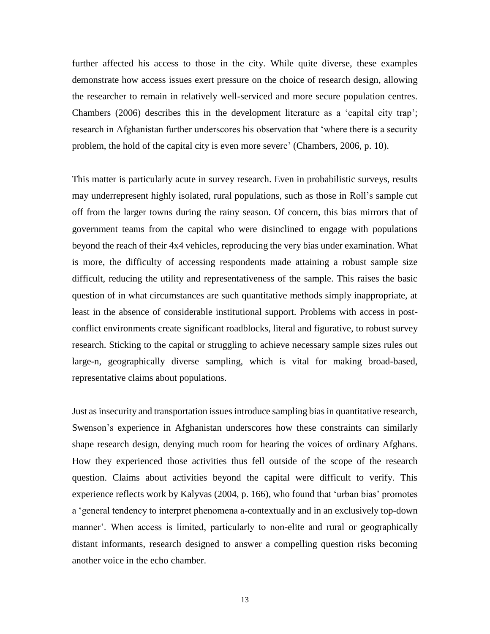further affected his access to those in the city. While quite diverse, these examples demonstrate how access issues exert pressure on the choice of research design, allowing the researcher to remain in relatively well-serviced and more secure population centres. Chambers (2006) describes this in the development literature as a 'capital city trap'; research in Afghanistan further underscores his observation that 'where there is a security problem, the hold of the capital city is even more severe' (Chambers, 2006, p. 10).

This matter is particularly acute in survey research. Even in probabilistic surveys, results may underrepresent highly isolated, rural populations, such as those in Roll's sample cut off from the larger towns during the rainy season. Of concern, this bias mirrors that of government teams from the capital who were disinclined to engage with populations beyond the reach of their 4x4 vehicles, reproducing the very bias under examination. What is more, the difficulty of accessing respondents made attaining a robust sample size difficult, reducing the utility and representativeness of the sample. This raises the basic question of in what circumstances are such quantitative methods simply inappropriate, at least in the absence of considerable institutional support. Problems with access in postconflict environments create significant roadblocks, literal and figurative, to robust survey research. Sticking to the capital or struggling to achieve necessary sample sizes rules out large-n, geographically diverse sampling, which is vital for making broad-based, representative claims about populations.

Just as insecurity and transportation issues introduce sampling bias in quantitative research, Swenson's experience in Afghanistan underscores how these constraints can similarly shape research design, denying much room for hearing the voices of ordinary Afghans. How they experienced those activities thus fell outside of the scope of the research question. Claims about activities beyond the capital were difficult to verify. This experience reflects work by Kalyvas (2004, p. 166), who found that 'urban bias' promotes a 'general tendency to interpret phenomena a-contextually and in an exclusively top-down manner'. When access is limited, particularly to non-elite and rural or geographically distant informants, research designed to answer a compelling question risks becoming another voice in the echo chamber.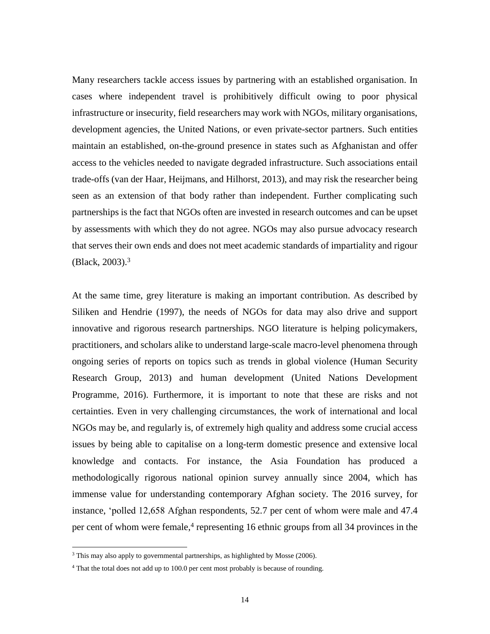Many researchers tackle access issues by partnering with an established organisation. In cases where independent travel is prohibitively difficult owing to poor physical infrastructure or insecurity, field researchers may work with NGOs, military organisations, development agencies, the United Nations, or even private-sector partners. Such entities maintain an established, on-the-ground presence in states such as Afghanistan and offer access to the vehicles needed to navigate degraded infrastructure. Such associations entail trade-offs (van der Haar, Heijmans, and Hilhorst, 2013), and may risk the researcher being seen as an extension of that body rather than independent. Further complicating such partnerships is the fact that NGOs often are invested in research outcomes and can be upset by assessments with which they do not agree. NGOs may also pursue advocacy research that serves their own ends and does not meet academic standards of impartiality and rigour (Black,  $2003$ ).<sup>3</sup>

At the same time, grey literature is making an important contribution. As described by Siliken and Hendrie (1997), the needs of NGOs for data may also drive and support innovative and rigorous research partnerships. NGO literature is helping policymakers, practitioners, and scholars alike to understand large-scale macro-level phenomena through ongoing series of reports on topics such as trends in global violence (Human Security Research Group, 2013) and human development (United Nations Development Programme, 2016). Furthermore, it is important to note that these are risks and not certainties. Even in very challenging circumstances, the work of international and local NGOs may be, and regularly is, of extremely high quality and address some crucial access issues by being able to capitalise on a long-term domestic presence and extensive local knowledge and contacts. For instance, the Asia Foundation has produced a methodologically rigorous national opinion survey annually since 2004, which has immense value for understanding contemporary Afghan society. The 2016 survey, for instance, 'polled 12,658 Afghan respondents, 52.7 per cent of whom were male and 47.4 per cent of whom were female,<sup>4</sup> representing 16 ethnic groups from all 34 provinces in the

<sup>&</sup>lt;sup>3</sup> This may also apply to governmental partnerships, as highlighted by Mosse (2006).

<sup>&</sup>lt;sup>4</sup> That the total does not add up to 100.0 per cent most probably is because of rounding.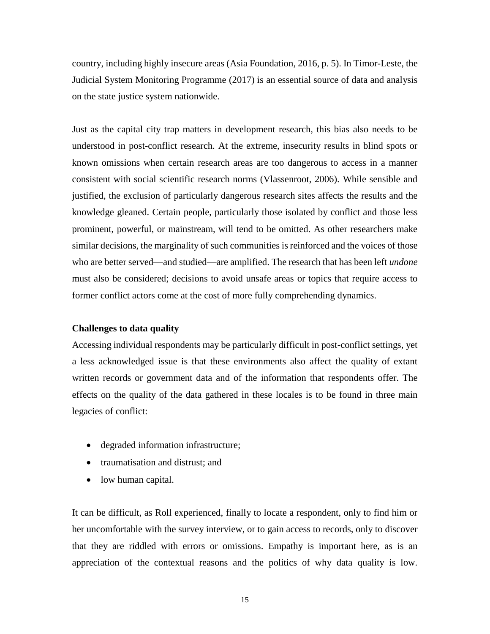country, including highly insecure areas (Asia Foundation, 2016, p. 5). In Timor-Leste, the Judicial System Monitoring Programme (2017) is an essential source of data and analysis on the state justice system nationwide.

Just as the capital city trap matters in development research, this bias also needs to be understood in post-conflict research. At the extreme, insecurity results in blind spots or known omissions when certain research areas are too dangerous to access in a manner consistent with social scientific research norms (Vlassenroot, 2006). While sensible and justified, the exclusion of particularly dangerous research sites affects the results and the knowledge gleaned. Certain people, particularly those isolated by conflict and those less prominent, powerful, or mainstream, will tend to be omitted. As other researchers make similar decisions, the marginality of such communities is reinforced and the voices of those who are better served—and studied—are amplified. The research that has been left *undone* must also be considered; decisions to avoid unsafe areas or topics that require access to former conflict actors come at the cost of more fully comprehending dynamics.

#### **Challenges to data quality**

Accessing individual respondents may be particularly difficult in post-conflict settings, yet a less acknowledged issue is that these environments also affect the quality of extant written records or government data and of the information that respondents offer. The effects on the quality of the data gathered in these locales is to be found in three main legacies of conflict:

- degraded information infrastructure;
- traumatisation and distrust; and
- low human capital.

It can be difficult, as Roll experienced, finally to locate a respondent, only to find him or her uncomfortable with the survey interview, or to gain access to records, only to discover that they are riddled with errors or omissions. Empathy is important here, as is an appreciation of the contextual reasons and the politics of why data quality is low.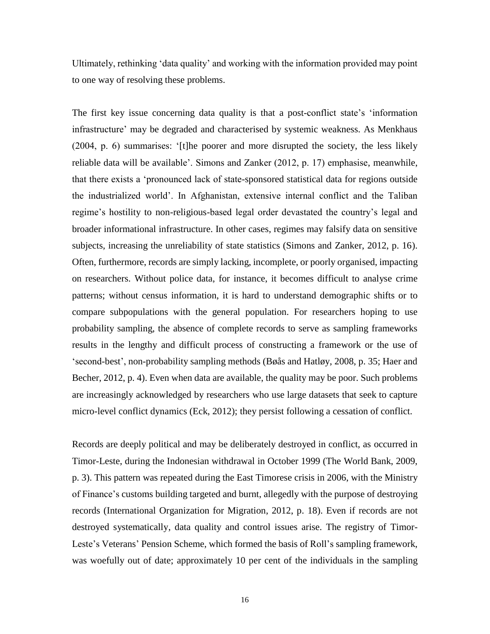Ultimately, rethinking 'data quality' and working with the information provided may point to one way of resolving these problems.

The first key issue concerning data quality is that a post-conflict state's 'information infrastructure' may be degraded and characterised by systemic weakness. As Menkhaus (2004, p. 6) summarises: '[t]he poorer and more disrupted the society, the less likely reliable data will be available'. Simons and Zanker (2012, p. 17) emphasise, meanwhile, that there exists a 'pronounced lack of state-sponsored statistical data for regions outside the industrialized world'. In Afghanistan, extensive internal conflict and the Taliban regime's hostility to non-religious-based legal order devastated the country's legal and broader informational infrastructure. In other cases, regimes may falsify data on sensitive subjects, increasing the unreliability of state statistics (Simons and Zanker, 2012, p. 16). Often, furthermore, records are simply lacking, incomplete, or poorly organised, impacting on researchers. Without police data, for instance, it becomes difficult to analyse crime patterns; without census information, it is hard to understand demographic shifts or to compare subpopulations with the general population. For researchers hoping to use probability sampling, the absence of complete records to serve as sampling frameworks results in the lengthy and difficult process of constructing a framework or the use of 'second-best', non-probability sampling methods (Bøås and Hatløy, 2008, p. 35; Haer and Becher, 2012, p. 4). Even when data are available, the quality may be poor. Such problems are increasingly acknowledged by researchers who use large datasets that seek to capture micro-level conflict dynamics (Eck, 2012); they persist following a cessation of conflict.

Records are deeply political and may be deliberately destroyed in conflict, as occurred in Timor-Leste, during the Indonesian withdrawal in October 1999 (The World Bank, 2009, p. 3). This pattern was repeated during the East Timorese crisis in 2006, with the Ministry of Finance's customs building targeted and burnt, allegedly with the purpose of destroying records (International Organization for Migration, 2012, p. 18). Even if records are not destroyed systematically, data quality and control issues arise. The registry of Timor-Leste's Veterans' Pension Scheme, which formed the basis of Roll's sampling framework, was woefully out of date; approximately 10 per cent of the individuals in the sampling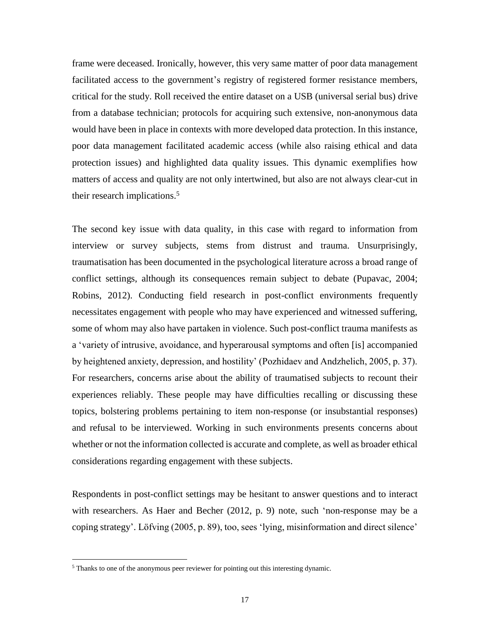frame were deceased. Ironically, however, this very same matter of poor data management facilitated access to the government's registry of registered former resistance members, critical for the study. Roll received the entire dataset on a USB (universal serial bus) drive from a database technician; protocols for acquiring such extensive, non-anonymous data would have been in place in contexts with more developed data protection. In this instance, poor data management facilitated academic access (while also raising ethical and data protection issues) and highlighted data quality issues. This dynamic exemplifies how matters of access and quality are not only intertwined, but also are not always clear-cut in their research implications.<sup>5</sup>

The second key issue with data quality, in this case with regard to information from interview or survey subjects, stems from distrust and trauma. Unsurprisingly, traumatisation has been documented in the psychological literature across a broad range of conflict settings, although its consequences remain subject to debate (Pupavac, 2004; Robins, 2012). Conducting field research in post-conflict environments frequently necessitates engagement with people who may have experienced and witnessed suffering, some of whom may also have partaken in violence. Such post-conflict trauma manifests as a 'variety of intrusive, avoidance, and hyperarousal symptoms and often [is] accompanied by heightened anxiety, depression, and hostility' (Pozhidaev and Andzhelich, 2005, p. 37). For researchers, concerns arise about the ability of traumatised subjects to recount their experiences reliably. These people may have difficulties recalling or discussing these topics, bolstering problems pertaining to item non-response (or insubstantial responses) and refusal to be interviewed. Working in such environments presents concerns about whether or not the information collected is accurate and complete, as well as broader ethical considerations regarding engagement with these subjects.

Respondents in post-conflict settings may be hesitant to answer questions and to interact with researchers. As Haer and Becher (2012, p. 9) note, such 'non-response may be a coping strategy'. Löfving (2005, p. 89), too, sees 'lying, misinformation and direct silence'

<sup>&</sup>lt;sup>5</sup> Thanks to one of the anonymous peer reviewer for pointing out this interesting dynamic.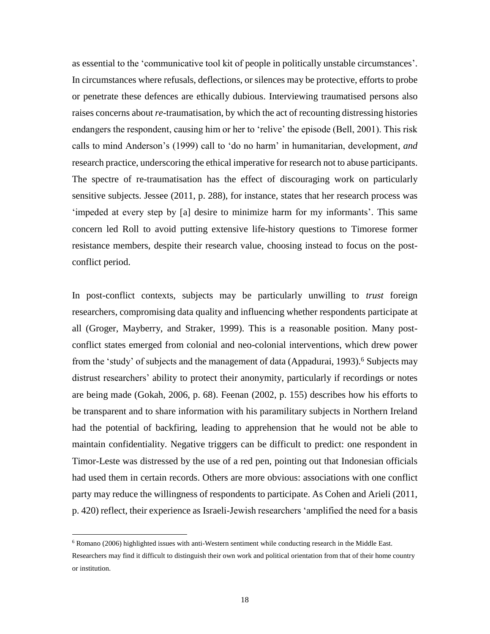as essential to the 'communicative tool kit of people in politically unstable circumstances'. In circumstances where refusals, deflections, or silences may be protective, efforts to probe or penetrate these defences are ethically dubious. Interviewing traumatised persons also raises concerns about *re*-traumatisation, by which the act of recounting distressing histories endangers the respondent, causing him or her to 'relive' the episode (Bell, 2001). This risk calls to mind Anderson's (1999) call to 'do no harm' in humanitarian, development, *and* research practice, underscoring the ethical imperative for research not to abuse participants. The spectre of re-traumatisation has the effect of discouraging work on particularly sensitive subjects. Jessee (2011, p. 288), for instance, states that her research process was 'impeded at every step by [a] desire to minimize harm for my informants'. This same concern led Roll to avoid putting extensive life-history questions to Timorese former resistance members, despite their research value, choosing instead to focus on the postconflict period.

In post-conflict contexts, subjects may be particularly unwilling to *trust* foreign researchers, compromising data quality and influencing whether respondents participate at all (Groger, Mayberry, and Straker, 1999). This is a reasonable position. Many postconflict states emerged from colonial and neo-colonial interventions, which drew power from the 'study' of subjects and the management of data (Appadurai, 1993).<sup>6</sup> Subjects may distrust researchers' ability to protect their anonymity, particularly if recordings or notes are being made (Gokah, 2006, p. 68). Feenan (2002, p. 155) describes how his efforts to be transparent and to share information with his paramilitary subjects in Northern Ireland had the potential of backfiring, leading to apprehension that he would not be able to maintain confidentiality. Negative triggers can be difficult to predict: one respondent in Timor-Leste was distressed by the use of a red pen, pointing out that Indonesian officials had used them in certain records. Others are more obvious: associations with one conflict party may reduce the willingness of respondents to participate. As Cohen and Arieli (2011, p. 420) reflect, their experience as Israeli-Jewish researchers 'amplified the need for a basis

 $6$  Romano (2006) highlighted issues with anti-Western sentiment while conducting research in the Middle East. Researchers may find it difficult to distinguish their own work and political orientation from that of their home country or institution.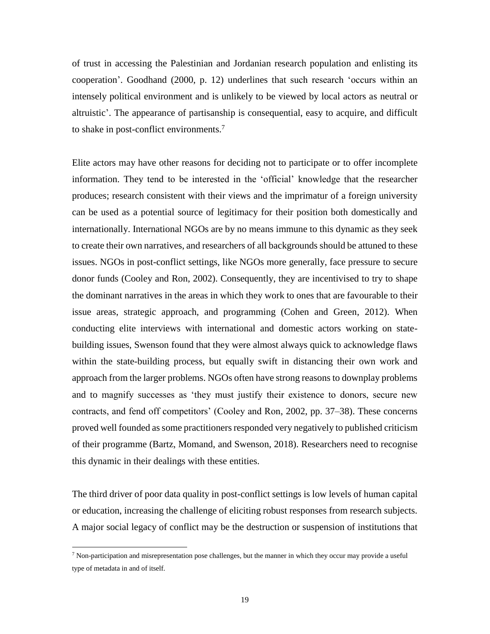of trust in accessing the Palestinian and Jordanian research population and enlisting its cooperation'. Goodhand (2000, p. 12) underlines that such research 'occurs within an intensely political environment and is unlikely to be viewed by local actors as neutral or altruistic'. The appearance of partisanship is consequential, easy to acquire, and difficult to shake in post-conflict environments. 7

Elite actors may have other reasons for deciding not to participate or to offer incomplete information. They tend to be interested in the 'official' knowledge that the researcher produces; research consistent with their views and the imprimatur of a foreign university can be used as a potential source of legitimacy for their position both domestically and internationally. International NGOs are by no means immune to this dynamic as they seek to create their own narratives, and researchers of all backgrounds should be attuned to these issues. NGOs in post-conflict settings, like NGOs more generally, face pressure to secure donor funds (Cooley and Ron, 2002). Consequently, they are incentivised to try to shape the dominant narratives in the areas in which they work to ones that are favourable to their issue areas, strategic approach, and programming (Cohen and Green, 2012). When conducting elite interviews with international and domestic actors working on statebuilding issues, Swenson found that they were almost always quick to acknowledge flaws within the state-building process, but equally swift in distancing their own work and approach from the larger problems. NGOs often have strong reasons to downplay problems and to magnify successes as 'they must justify their existence to donors, secure new contracts, and fend off competitors' (Cooley and Ron, 2002, pp. 37–38). These concerns proved well founded as some practitioners responded very negatively to published criticism of their programme (Bartz, Momand, and Swenson, 2018). Researchers need to recognise this dynamic in their dealings with these entities.

The third driver of poor data quality in post-conflict settings is low levels of human capital or education, increasing the challenge of eliciting robust responses from research subjects. A major social legacy of conflict may be the destruction or suspension of institutions that

 $<sup>7</sup>$  Non-participation and misrepresentation pose challenges, but the manner in which they occur may provide a useful</sup> type of metadata in and of itself.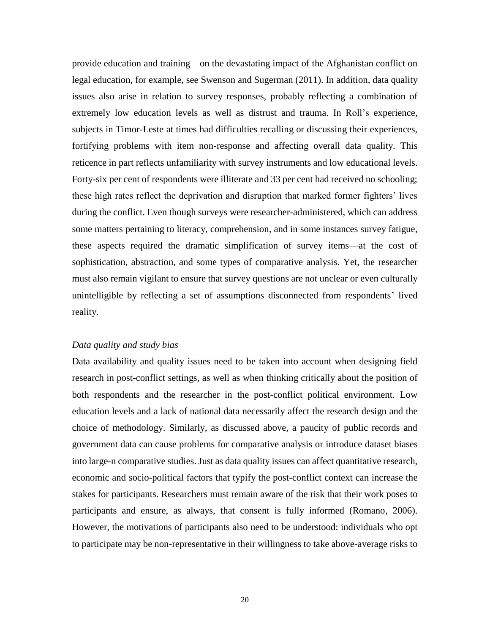provide education and training—on the devastating impact of the Afghanistan conflict on legal education, for example, see Swenson and Sugerman (2011). In addition, data quality issues also arise in relation to survey responses, probably reflecting a combination of extremely low education levels as well as distrust and trauma. In Roll's experience, subjects in Timor-Leste at times had difficulties recalling or discussing their experiences, fortifying problems with item non-response and affecting overall data quality. This reticence in part reflects unfamiliarity with survey instruments and low educational levels. Forty-six per cent of respondents were illiterate and 33 per cent had received no schooling; these high rates reflect the deprivation and disruption that marked former fighters' lives during the conflict. Even though surveys were researcher-administered, which can address some matters pertaining to literacy, comprehension, and in some instances survey fatigue, these aspects required the dramatic simplification of survey items—at the cost of sophistication, abstraction, and some types of comparative analysis. Yet, the researcher must also remain vigilant to ensure that survey questions are not unclear or even culturally unintelligible by reflecting a set of assumptions disconnected from respondents' lived reality.

#### *Data quality and study bias*

Data availability and quality issues need to be taken into account when designing field research in post-conflict settings, as well as when thinking critically about the position of both respondents and the researcher in the post-conflict political environment. Low education levels and a lack of national data necessarily affect the research design and the choice of methodology. Similarly, as discussed above, a paucity of public records and government data can cause problems for comparative analysis or introduce dataset biases into large-n comparative studies. Just as data quality issues can affect quantitative research, economic and socio-political factors that typify the post-conflict context can increase the stakes for participants. Researchers must remain aware of the risk that their work poses to participants and ensure, as always, that consent is fully informed (Romano, 2006). However, the motivations of participants also need to be understood: individuals who opt to participate may be non-representative in their willingness to take above-average risks to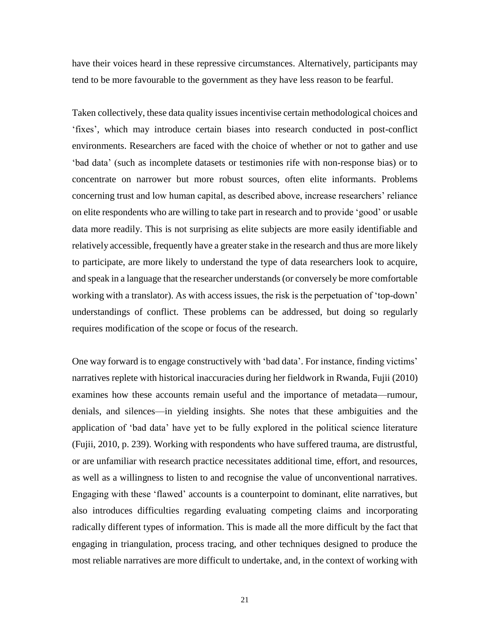have their voices heard in these repressive circumstances. Alternatively, participants may tend to be more favourable to the government as they have less reason to be fearful.

Taken collectively, these data quality issues incentivise certain methodological choices and 'fixes', which may introduce certain biases into research conducted in post-conflict environments. Researchers are faced with the choice of whether or not to gather and use 'bad data' (such as incomplete datasets or testimonies rife with non-response bias) or to concentrate on narrower but more robust sources, often elite informants. Problems concerning trust and low human capital, as described above, increase researchers' reliance on elite respondents who are willing to take part in research and to provide 'good' or usable data more readily. This is not surprising as elite subjects are more easily identifiable and relatively accessible, frequently have a greater stake in the research and thus are more likely to participate, are more likely to understand the type of data researchers look to acquire, and speak in a language that the researcher understands (or conversely be more comfortable working with a translator). As with access issues, the risk is the perpetuation of 'top-down' understandings of conflict. These problems can be addressed, but doing so regularly requires modification of the scope or focus of the research.

One way forward is to engage constructively with 'bad data'. For instance, finding victims' narratives replete with historical inaccuracies during her fieldwork in Rwanda, Fujii (2010) examines how these accounts remain useful and the importance of metadata—rumour, denials, and silences—in yielding insights. She notes that these ambiguities and the application of 'bad data' have yet to be fully explored in the political science literature (Fujii, 2010, p. 239). Working with respondents who have suffered trauma, are distrustful, or are unfamiliar with research practice necessitates additional time, effort, and resources, as well as a willingness to listen to and recognise the value of unconventional narratives. Engaging with these 'flawed' accounts is a counterpoint to dominant, elite narratives, but also introduces difficulties regarding evaluating competing claims and incorporating radically different types of information. This is made all the more difficult by the fact that engaging in triangulation, process tracing, and other techniques designed to produce the most reliable narratives are more difficult to undertake, and, in the context of working with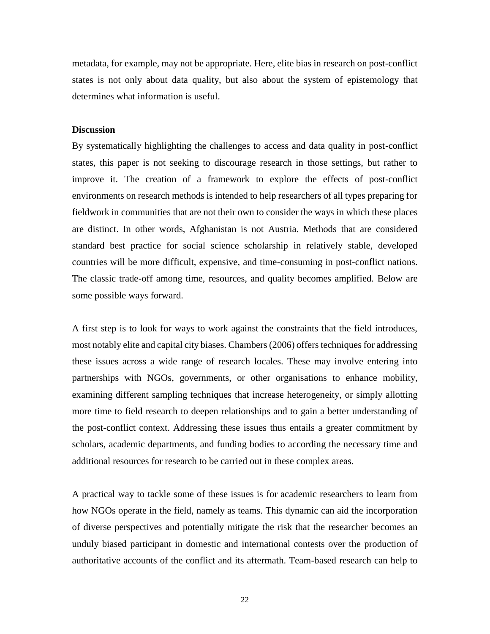metadata, for example, may not be appropriate. Here, elite bias in research on post-conflict states is not only about data quality, but also about the system of epistemology that determines what information is useful.

#### **Discussion**

By systematically highlighting the challenges to access and data quality in post-conflict states, this paper is not seeking to discourage research in those settings, but rather to improve it. The creation of a framework to explore the effects of post-conflict environments on research methods is intended to help researchers of all types preparing for fieldwork in communities that are not their own to consider the ways in which these places are distinct. In other words, Afghanistan is not Austria. Methods that are considered standard best practice for social science scholarship in relatively stable, developed countries will be more difficult, expensive, and time-consuming in post-conflict nations. The classic trade-off among time, resources, and quality becomes amplified. Below are some possible ways forward.

A first step is to look for ways to work against the constraints that the field introduces, most notably elite and capital city biases. Chambers (2006) offers techniques for addressing these issues across a wide range of research locales. These may involve entering into partnerships with NGOs, governments, or other organisations to enhance mobility, examining different sampling techniques that increase heterogeneity, or simply allotting more time to field research to deepen relationships and to gain a better understanding of the post-conflict context. Addressing these issues thus entails a greater commitment by scholars, academic departments, and funding bodies to according the necessary time and additional resources for research to be carried out in these complex areas.

A practical way to tackle some of these issues is for academic researchers to learn from how NGOs operate in the field, namely as teams. This dynamic can aid the incorporation of diverse perspectives and potentially mitigate the risk that the researcher becomes an unduly biased participant in domestic and international contests over the production of authoritative accounts of the conflict and its aftermath. Team-based research can help to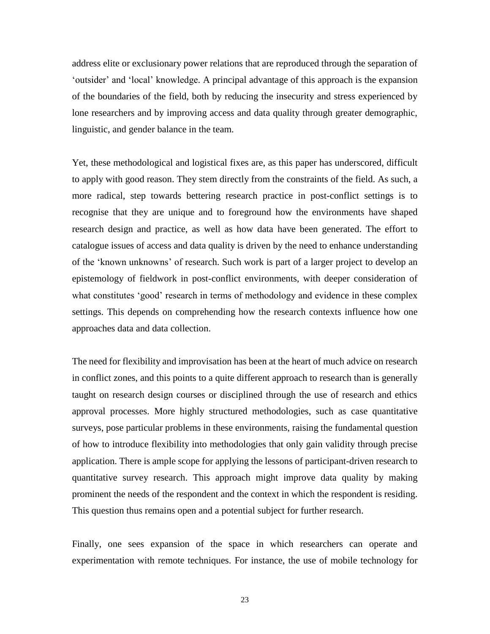address elite or exclusionary power relations that are reproduced through the separation of 'outsider' and 'local' knowledge. A principal advantage of this approach is the expansion of the boundaries of the field, both by reducing the insecurity and stress experienced by lone researchers and by improving access and data quality through greater demographic, linguistic, and gender balance in the team.

Yet, these methodological and logistical fixes are, as this paper has underscored, difficult to apply with good reason. They stem directly from the constraints of the field. As such, a more radical, step towards bettering research practice in post-conflict settings is to recognise that they are unique and to foreground how the environments have shaped research design and practice, as well as how data have been generated. The effort to catalogue issues of access and data quality is driven by the need to enhance understanding of the 'known unknowns' of research. Such work is part of a larger project to develop an epistemology of fieldwork in post-conflict environments, with deeper consideration of what constitutes 'good' research in terms of methodology and evidence in these complex settings. This depends on comprehending how the research contexts influence how one approaches data and data collection.

The need for flexibility and improvisation has been at the heart of much advice on research in conflict zones, and this points to a quite different approach to research than is generally taught on research design courses or disciplined through the use of research and ethics approval processes. More highly structured methodologies, such as case quantitative surveys, pose particular problems in these environments, raising the fundamental question of how to introduce flexibility into methodologies that only gain validity through precise application. There is ample scope for applying the lessons of participant-driven research to quantitative survey research. This approach might improve data quality by making prominent the needs of the respondent and the context in which the respondent is residing. This question thus remains open and a potential subject for further research.

Finally, one sees expansion of the space in which researchers can operate and experimentation with remote techniques. For instance, the use of mobile technology for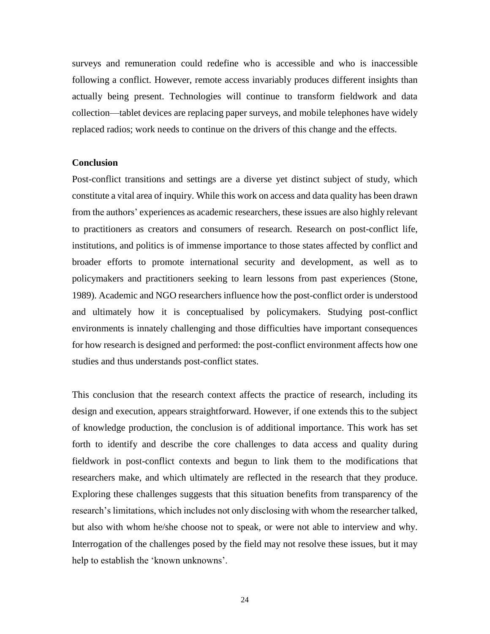surveys and remuneration could redefine who is accessible and who is inaccessible following a conflict. However, remote access invariably produces different insights than actually being present. Technologies will continue to transform fieldwork and data collection—tablet devices are replacing paper surveys, and mobile telephones have widely replaced radios; work needs to continue on the drivers of this change and the effects.

#### **Conclusion**

Post-conflict transitions and settings are a diverse yet distinct subject of study, which constitute a vital area of inquiry. While this work on access and data quality has been drawn from the authors' experiences as academic researchers, these issues are also highly relevant to practitioners as creators and consumers of research. Research on post-conflict life, institutions, and politics is of immense importance to those states affected by conflict and broader efforts to promote international security and development, as well as to policymakers and practitioners seeking to learn lessons from past experiences (Stone, 1989). Academic and NGO researchers influence how the post-conflict order is understood and ultimately how it is conceptualised by policymakers. Studying post-conflict environments is innately challenging and those difficulties have important consequences for how research is designed and performed: the post-conflict environment affects how one studies and thus understands post-conflict states.

This conclusion that the research context affects the practice of research, including its design and execution, appears straightforward. However, if one extends this to the subject of knowledge production, the conclusion is of additional importance. This work has set forth to identify and describe the core challenges to data access and quality during fieldwork in post-conflict contexts and begun to link them to the modifications that researchers make, and which ultimately are reflected in the research that they produce. Exploring these challenges suggests that this situation benefits from transparency of the research's limitations, which includes not only disclosing with whom the researcher talked, but also with whom he/she choose not to speak, or were not able to interview and why. Interrogation of the challenges posed by the field may not resolve these issues, but it may help to establish the 'known unknowns'.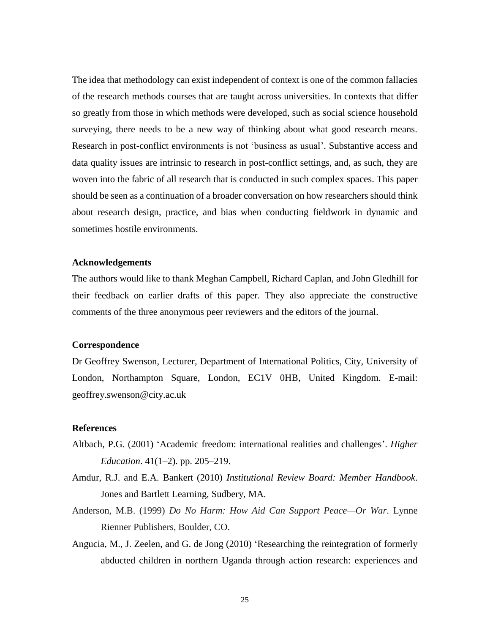The idea that methodology can exist independent of context is one of the common fallacies of the research methods courses that are taught across universities. In contexts that differ so greatly from those in which methods were developed, such as social science household surveying, there needs to be a new way of thinking about what good research means. Research in post-conflict environments is not 'business as usual'. Substantive access and data quality issues are intrinsic to research in post-conflict settings, and, as such, they are woven into the fabric of all research that is conducted in such complex spaces. This paper should be seen as a continuation of a broader conversation on how researchers should think about research design, practice, and bias when conducting fieldwork in dynamic and sometimes hostile environments.

#### **Acknowledgements**

The authors would like to thank Meghan Campbell, Richard Caplan, and John Gledhill for their feedback on earlier drafts of this paper. They also appreciate the constructive comments of the three anonymous peer reviewers and the editors of the journal.

#### **Correspondence**

Dr Geoffrey Swenson, Lecturer, Department of International Politics, City, University of London, Northampton Square, London, EC1V 0HB, United Kingdom. E-mail: geoffrey.swenson@city.ac.uk

#### **References**

- Altbach, P.G. (2001) 'Academic freedom: international realities and challenges'. *Higher Education*. 41(1–2). pp. 205–219.
- Amdur, R.J. and E.A. Bankert (2010) *Institutional Review Board: Member Handbook*. Jones and Bartlett Learning, Sudbery, MA.
- Anderson, M.B. (1999) *Do No Harm: How Aid Can Support Peace—Or War*. Lynne Rienner Publishers, Boulder, CO.
- Angucia, M., J. Zeelen, and G. de Jong (2010) 'Researching the reintegration of formerly abducted children in northern Uganda through action research: experiences and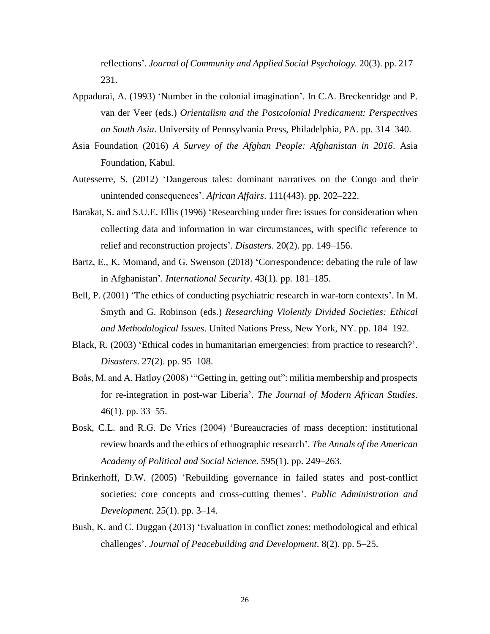reflections'. *Journal of Community and Applied Social Psychology.* 20(3). pp. 217– 231.

- Appadurai, A. (1993) 'Number in the colonial imagination'. In C.A. Breckenridge and P. van der Veer (eds.) *Orientalism and the Postcolonial Predicament: Perspectives on South Asia*. University of Pennsylvania Press, Philadelphia, PA. pp. 314–340.
- Asia Foundation (2016) *A Survey of the Afghan People: Afghanistan in 2016*. Asia Foundation, Kabul.
- Autesserre, S. (2012) 'Dangerous tales: dominant narratives on the Congo and their unintended consequences'. *African Affairs*. 111(443). pp. 202–222.
- Barakat, S. and S.U.E. Ellis (1996) 'Researching under fire: issues for consideration when collecting data and information in war circumstances, with specific reference to relief and reconstruction projects'. *Disasters*. 20(2). pp. 149–156.
- Bartz, E., K. Momand, and G. Swenson (2018) 'Correspondence: debating the rule of law in Afghanistan'. *International Security*. 43(1). pp. 181–185.
- Bell, P. (2001) 'The ethics of conducting psychiatric research in war-torn contexts'. In M. Smyth and G. Robinson (eds.) *Researching Violently Divided Societies: Ethical and Methodological Issues*. United Nations Press, New York, NY. pp. 184–192.
- Black, R. (2003) 'Ethical codes in humanitarian emergencies: from practice to research?'. *Disasters*. 27(2). pp. 95–108.
- Bøås, M. and A. Hatløy (2008) "Getting in, getting out": militia membership and prospects for re-integration in post-war Liberia'. *The Journal of Modern African Studies*. 46(1). pp. 33–55.
- Bosk, C.L. and R.G. De Vries (2004) 'Bureaucracies of mass deception: institutional review boards and the ethics of ethnographic research'. *The Annals of the American Academy of Political and Social Science*. 595(1). pp. 249–263.
- Brinkerhoff, D.W. (2005) 'Rebuilding governance in failed states and post-conflict societies: core concepts and cross-cutting themes'. *Public Administration and Development*. 25(1). pp. 3–14.
- Bush, K. and C. Duggan (2013) 'Evaluation in conflict zones: methodological and ethical challenges'. *Journal of Peacebuilding and Development*. 8(2). pp. 5–25.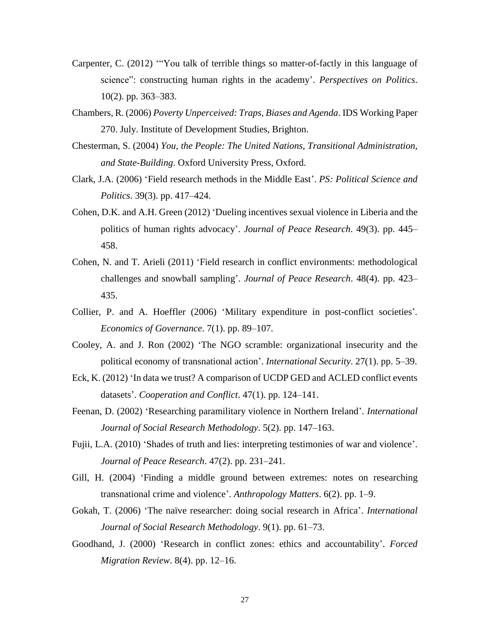- Carpenter, C. (2012) '"You talk of terrible things so matter-of-factly in this language of science": constructing human rights in the academy'. *Perspectives on Politics*. 10(2). pp. 363–383.
- Chambers, R. (2006) *Poverty Unperceived: Traps, Biases and Agenda*. IDS Working Paper 270. July. Institute of Development Studies, Brighton.
- Chesterman, S. (2004) *You, the People: The United Nations, Transitional Administration, and State-Building*. Oxford University Press, Oxford.
- Clark, J.A. (2006) 'Field research methods in the Middle East'. *PS: Political Science and Politics*. 39(3). pp. 417–424.
- Cohen, D.K. and A.H. Green (2012) 'Dueling incentives sexual violence in Liberia and the politics of human rights advocacy'. *Journal of Peace Research*. 49(3). pp. 445– 458.
- Cohen, N. and T. Arieli (2011) 'Field research in conflict environments: methodological challenges and snowball sampling'. *Journal of Peace Research*. 48(4). pp. 423– 435.
- Collier, P. and A. Hoeffler (2006) 'Military expenditure in post-conflict societies'*. Economics of Governance*. 7(1). pp. 89–107.
- Cooley, A. and J. Ron (2002) 'The NGO scramble: organizational insecurity and the political economy of transnational action'. *International Security*. 27(1). pp. 5–39.
- Eck, K. (2012) 'In data we trust? A comparison of UCDP GED and ACLED conflict events datasets'. *Cooperation and Conflict*. 47(1). pp. 124–141.
- Feenan, D. (2002) 'Researching paramilitary violence in Northern Ireland'. *International Journal of Social Research Methodology*. 5(2). pp. 147–163.
- Fujii, L.A. (2010) 'Shades of truth and lies: interpreting testimonies of war and violence'. *Journal of Peace Research*. 47(2). pp. 231–241.
- Gill, H. (2004) 'Finding a middle ground between extremes: notes on researching transnational crime and violence'. *Anthropology Matters*. 6(2). pp. 1–9.
- Gokah, T. (2006) 'The naïve researcher: doing social research in Africa'. *International Journal of Social Research Methodology*. 9(1). pp. 61–73.
- Goodhand, J. (2000) 'Research in conflict zones: ethics and accountability'. *Forced Migration Review*. 8(4). pp. 12–16.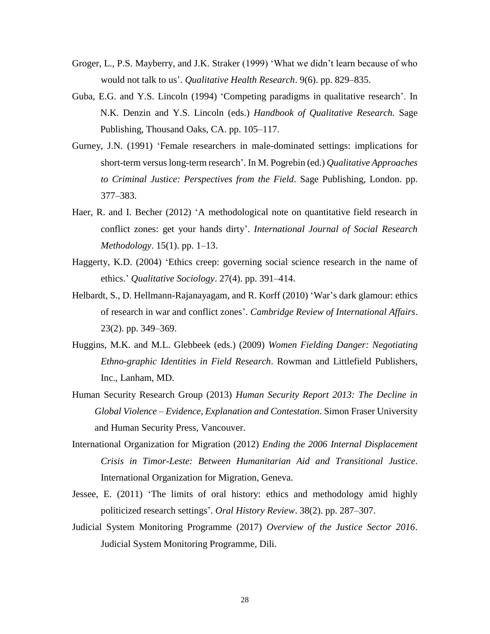- Groger, L., P.S. Mayberry, and J.K. Straker (1999) 'What we didn't learn because of who would not talk to us'. *Qualitative Health Research*. 9(6). pp. 829–835.
- Guba, E.G. and Y.S. Lincoln (1994) 'Competing paradigms in qualitative research'. In N.K. Denzin and Y.S. Lincoln (eds.) *Handbook of Qualitative Research.* Sage Publishing, Thousand Oaks, CA. pp. 105–117.
- Gurney, J.N. (1991) 'Female researchers in male-dominated settings: implications for short-term versus long-term research'. In M. Pogrebin (ed.) *Qualitative Approaches to Criminal Justice: Perspectives from the Field*. Sage Publishing, London. pp. 377–383.
- Haer, R. and I. Becher (2012) 'A methodological note on quantitative field research in conflict zones: get your hands dirty'. *International Journal of Social Research Methodology*. 15(1). pp. 1–13.
- Haggerty, K.D. (2004) 'Ethics creep: governing social science research in the name of ethics.' *Qualitative Sociology*. 27(4). pp. 391–414.
- Helbardt, S., D. Hellmann-Rajanayagam, and R. Korff (2010) 'War's dark glamour: ethics of research in war and conflict zones'. *Cambridge Review of International Affairs*. 23(2). pp. 349–369.
- Huggins, M.K. and M.L. Glebbeek (eds.) (2009) *Women Fielding Danger: Negotiating Ethno-graphic Identities in Field Research*. Rowman and Littlefield Publishers, Inc., Lanham, MD.
- Human Security Research Group (2013) *Human Security Report 2013: The Decline in Global Violence – Evidence, Explanation and Contestation*. Simon Fraser University and Human Security Press, Vancouver.
- International Organization for Migration (2012) *Ending the 2006 Internal Displacement Crisis in Timor-Leste: Between Humanitarian Aid and Transitional Justice*. International Organization for Migration, Geneva.
- Jessee, E. (2011) 'The limits of oral history: ethics and methodology amid highly politicized research settings'. *Oral History Review*. 38(2). pp. 287–307.
- Judicial System Monitoring Programme (2017) *Overview of the Justice Sector 2016*. Judicial System Monitoring Programme, Dili.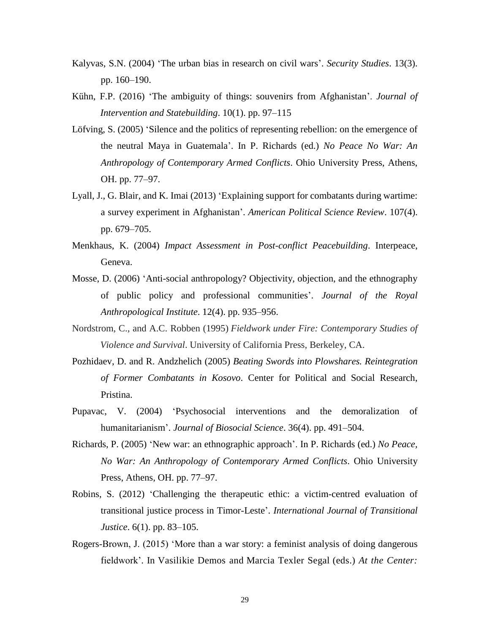- Kalyvas, S.N. (2004) 'The urban bias in research on civil wars'. *Security Studies*. 13(3). pp. 160–190.
- Kühn, F.P. (2016) 'The ambiguity of things: souvenirs from Afghanistan'. *Journal of Intervention and Statebuilding*. 10(1). pp. 97–115
- Löfving, S. (2005) 'Silence and the politics of representing rebellion: on the emergence of the neutral Maya in Guatemala'. In P. Richards (ed.) *No Peace No War: An Anthropology of Contemporary Armed Conflicts*. Ohio University Press, Athens, OH. pp. 77–97.
- Lyall, J., G. Blair, and K. Imai (2013) 'Explaining support for combatants during wartime: a survey experiment in Afghanistan'. *American Political Science Review*. 107(4). pp. 679–705.
- Menkhaus, K. (2004) *Impact Assessment in Post-conflict Peacebuilding*. Interpeace, Geneva.
- Mosse, D. (2006) 'Anti-social anthropology? Objectivity, objection, and the ethnography of public policy and professional communities'. *Journal of the Royal Anthropological Institute*. 12(4). pp. 935–956.
- Nordstrom, C., and A.C. Robben (1995) *Fieldwork under Fire: Contemporary Studies of Violence and Survival*. University of California Press, Berkeley, CA.
- Pozhidaev, D. and R. Andzhelich (2005) *Beating Swords into Plowshares. Reintegration of Former Combatants in Kosovo*. Center for Political and Social Research, Pristina.
- Pupavac, V. (2004) 'Psychosocial interventions and the demoralization of humanitarianism'. *Journal of Biosocial Science*. 36(4). pp. 491–504.
- Richards, P. (2005) 'New war: an ethnographic approach'. In P. Richards (ed.) *No Peace, No War: An Anthropology of Contemporary Armed Conflicts*. Ohio University Press, Athens, OH. pp. 77–97.
- Robins, S. (2012) 'Challenging the therapeutic ethic: a victim-centred evaluation of transitional justice process in Timor-Leste'. *International Journal of Transitional Justice*. 6(1). pp. 83–105.
- Rogers-Brown, J. (2015) 'More than a war story: a feminist analysis of doing dangerous fieldwork'. In Vasilikie Demos and Marcia Texler Segal (eds.) *At the Center:*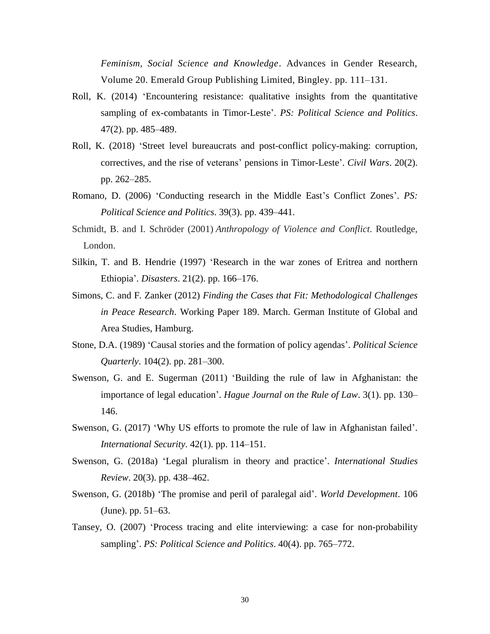*Feminism, Social Science and Knowledge*. Advances in Gender Research, Volume 20. Emerald Group Publishing Limited, Bingley. pp. 111–131.

- Roll, K. (2014) 'Encountering resistance: qualitative insights from the quantitative sampling of ex-combatants in Timor-Leste'. *PS: Political Science and Politics*. 47(2). pp. 485–489.
- Roll, K. (2018) 'Street level bureaucrats and post-conflict policy-making: corruption, correctives, and the rise of veterans' pensions in Timor-Leste'. *Civil Wars*. 20(2). pp. 262–285.
- Romano, D. (2006) 'Conducting research in the Middle East's Conflict Zones'. *PS: Political Science and Politics*. 39(3). pp. 439–441.
- Schmidt, B. and I. Schröder (2001) *Anthropology of Violence and Conflict*. Routledge, London.
- Silkin, T. and B. Hendrie (1997) 'Research in the war zones of Eritrea and northern Ethiopia'. *Disasters*. 21(2). pp. 166–176.
- Simons, C. and F. Zanker (2012) *Finding the Cases that Fit: Methodological Challenges in Peace Research*. Working Paper 189. March. German Institute of Global and Area Studies, Hamburg.
- Stone, D.A. (1989) 'Causal stories and the formation of policy agendas'. *Political Science Quarterly*. 104(2). pp. 281–300.
- Swenson, G. and E. Sugerman (2011) 'Building the rule of law in Afghanistan: the importance of legal education'. *Hague Journal on the Rule of Law*. 3(1). pp. 130– 146.
- Swenson, G. (2017) 'Why US efforts to promote the rule of law in Afghanistan failed'. *International Security*. 42(1). pp. 114–151.
- Swenson, G. (2018a) 'Legal pluralism in theory and practice'. *International Studies Review*. 20(3). pp. 438–462.
- Swenson, G. (2018b) 'The promise and peril of paralegal aid'. *World Development*. 106 (June). pp. 51–63.
- Tansey, O. (2007) 'Process tracing and elite interviewing: a case for non-probability sampling'. *PS: Political Science and Politics*. 40(4). pp. 765–772.